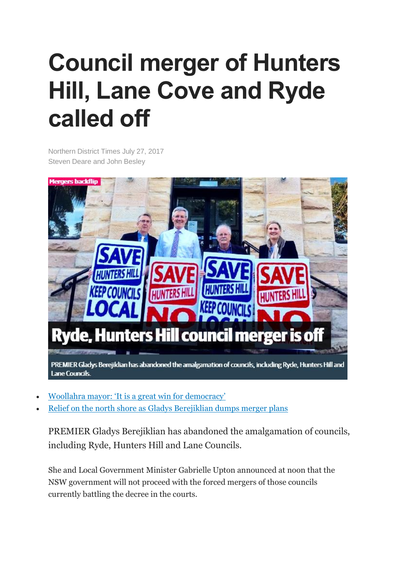## **Council merger of Hunters Hill, Lane Cove and Ryde called off**

Northern District Times July 27, 2017 Steven Deare and John Besley



- Woollahra mayor: 'It is a great win for [democracy'](http://www.dailytelegraph.com.au/newslocal/wentworth-courier/state-government-set-to-scrap-forced-amalgamations-including-eastern-suburbs-merger/news-story/6c0b823953313294e49b79f622f2439f)
- Relief on the north shore as Gladys [Berejiklian](http://www.dailytelegraph.com.au/newslocal/mosman-daily/relief-on-the-lower-north-shore-as-gladys-berejiklian-dumps-controversial-forced-council-merger-plans-ahead-of-local-government-elections/news-story/d5411cd0f166452b93182e097e4415f0) dumps merger plans

PREMIER Gladys Berejiklian has abandoned the amalgamation of councils, including Ryde, Hunters Hill and Lane Councils.

She and Local Government Minister Gabrielle Upton announced at noon that the NSW government will not proceed with the forced mergers of those councils currently battling the decree in the courts.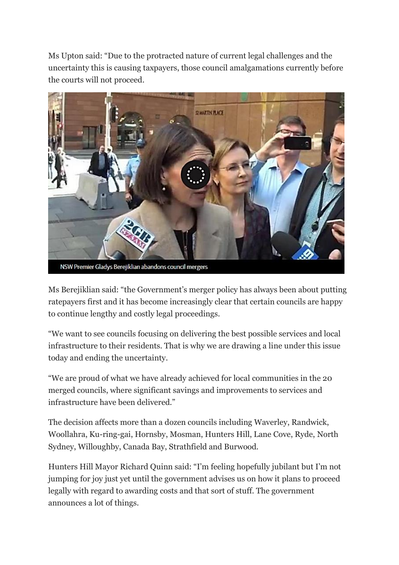Ms Upton said: "Due to the protracted nature of current legal challenges and the uncertainty this is causing taxpayers, those council amalgamations currently before the courts will not proceed.



Ms Berejiklian said: "the Government's merger policy has always been about putting ratepayers first and it has become increasingly clear that certain councils are happy to continue lengthy and costly legal proceedings.

"We want to see councils focusing on delivering the best possible services and local infrastructure to their residents. That is why we are drawing a line under this issue today and ending the uncertainty.

"We are proud of what we have already achieved for local communities in the 20 merged councils, where significant savings and improvements to services and infrastructure have been delivered."

The decision affects more than a dozen councils including Waverley, Randwick, Woollahra, Ku-ring-gai, Hornsby, Mosman, Hunters Hill, Lane Cove, Ryde, North Sydney, Willoughby, Canada Bay, Strathfield and Burwood.

Hunters Hill Mayor Richard Quinn said: "I'm feeling hopefully jubilant but I'm not jumping for joy just yet until the government advises us on how it plans to proceed legally with regard to awarding costs and that sort of stuff. The government announces a lot of things.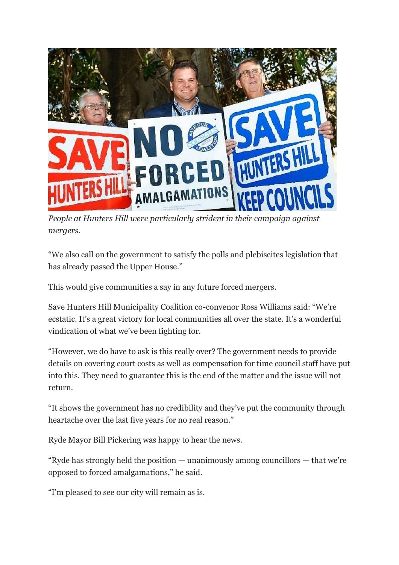

*People at Hunters Hill were particularly strident in their campaign against mergers.*

"We also call on the government to satisfy the polls and plebiscites legislation that has already passed the Upper House."

This would give communities a say in any future forced mergers.

Save Hunters Hill Municipality Coalition co-convenor Ross Williams said: "We're ecstatic. It's a great victory for local communities all over the state. It's a wonderful vindication of what we've been fighting for.

"However, we do have to ask is this really over? The government needs to provide details on covering court costs as well as compensation for time council staff have put into this. They need to guarantee this is the end of the matter and the issue will not return.

"It shows the government has no credibility and they've put the community through heartache over the last five years for no real reason."

Ryde Mayor Bill Pickering was happy to hear the news.

"Ryde has strongly held the position — unanimously among councillors — that we're opposed to forced amalgamations," he said.

"I'm pleased to see our city will remain as is.